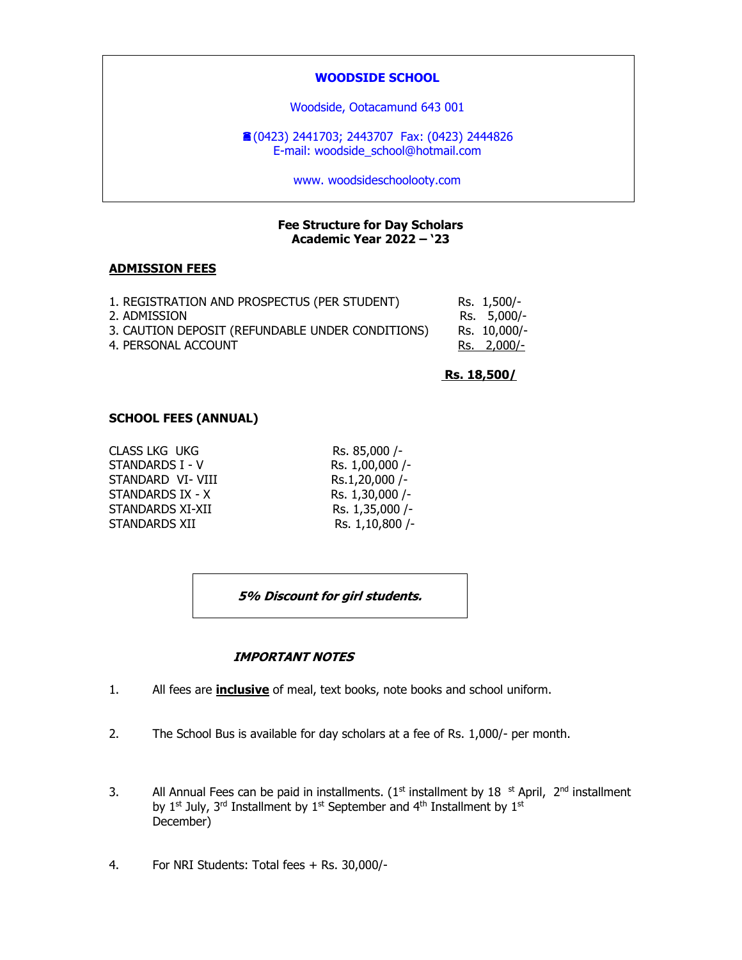## **WOODSIDE SCHOOL**

Woodside, Ootacamund 643 001

(0423) 2441703; 2443707 Fax: (0423) 2444826 E-mail: woodside\_school@hotmail.com

www. woodsideschoolooty.com

### **Fee Structure for Day Scholars Academic Year 2022 – '23**

#### **ADMISSION FEES**

| 1. REGISTRATION AND PROSPECTUS (PER STUDENT)     | Rs. 1,500/-  |
|--------------------------------------------------|--------------|
| 2. ADMISSION                                     | Rs. 5,000/-  |
| 3. CAUTION DEPOSIT (REFUNDABLE UNDER CONDITIONS) | Rs. 10,000/- |
| 4. PERSONAL ACCOUNT                              | Rs. 2,000/-  |

 **Rs. 18,500/**

### **SCHOOL FEES (ANNUAL)**

| <b>CLASS LKG UKG</b> | Rs. 85,000 /-   |
|----------------------|-----------------|
| STANDARDS I - V      | Rs. 1,00,000 /- |
| STANDARD VI- VIII    | Rs.1,20,000 /-  |
| STANDARDS IX - X     | Rs. 1,30,000 /- |
| STANDARDS XI-XII     | Rs. 1,35,000 /- |
| STANDARDS XII        | Rs. 1,10,800 /- |
|                      |                 |

| Rs. 85,000 /-   |
|-----------------|
| Rs. 1,00,000 /- |
| Rs.1,20,000 /-  |
| Rs. 1,30,000 /- |
| Rs. 1,35,000 /- |
| Rs. 1,10,800 /- |

**5% Discount for girl students.**

### **IMPORTANT NOTES**

- 1. All fees are **inclusive** of meal, text books, note books and school uniform.
- 2. The School Bus is available for day scholars at a fee of Rs. 1,000/- per month.
- 3. All Annual Fees can be paid in installments. (1st installment by 18  $\,$  st April, 2<sup>nd</sup> installment by 1<sup>st</sup> July, 3<sup>rd</sup> Installment by 1<sup>st</sup> September and 4<sup>th</sup> Installment by 1<sup>st</sup> December)
- 4. For NRI Students: Total fees + Rs. 30,000/-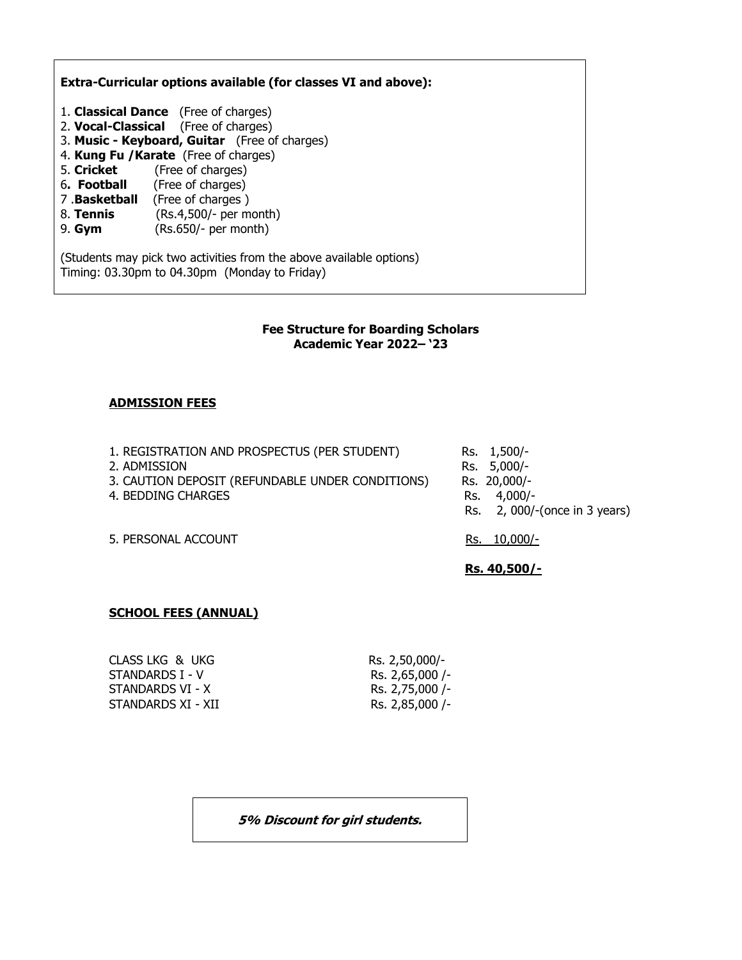**Extra-Curricular options available (for classes VI and above):**

- 1. **Classical Dance** (Free of charges)
- 2. **Vocal-Classical** (Free of charges)
- 3. **Music - Keyboard, Guitar** (Free of charges)
- 4. **Kung Fu /Karate** (Free of charges)
- 5. **Cricket** (Free of charges)
- 6**. Football** (Free of charges)
- 7 .**Basketball** (Free of charges )
- 8. **Tennis** (Rs.4,500/- per month)
- 9. **Gym** (Rs.650/- per month)

(Students may pick two activities from the above available options) Timing: 03.30pm to 04.30pm (Monday to Friday)

### **Fee Structure for Boarding Scholars Academic Year 2022– '23**

## **ADMISSION FEES**

1. REGISTRATION AND PROSPECTUS (PER STUDENT) Rs. 1,500/-2. ADMISSION Rs. 5,000/-<br>3. CAUTION DEPOSIT (REFUNDABLE UNDER CONDITIONS) Rs. 20,000/-3. CAUTION DEPOSIT (REFUNDABLE UNDER CONDITIONS) 4. BEDDING CHARGES RS. 4,000/-Rs. 2, 000/-(once in 3 years)

5. PERSONAL ACCOUNT RS. 10,000/-

**Rs. 40,500/-**

## **SCHOOL FEES (ANNUAL)**

CLASS LKG & UKG RS. 2,50,000/-STANDARDS I - V Rs. 2,65,000 /-STANDARDS VI - X Rs. 2,75,000 /-STANDARDS XI - XII RS. 2,85,000 /-

**5% Discount for girl students.**